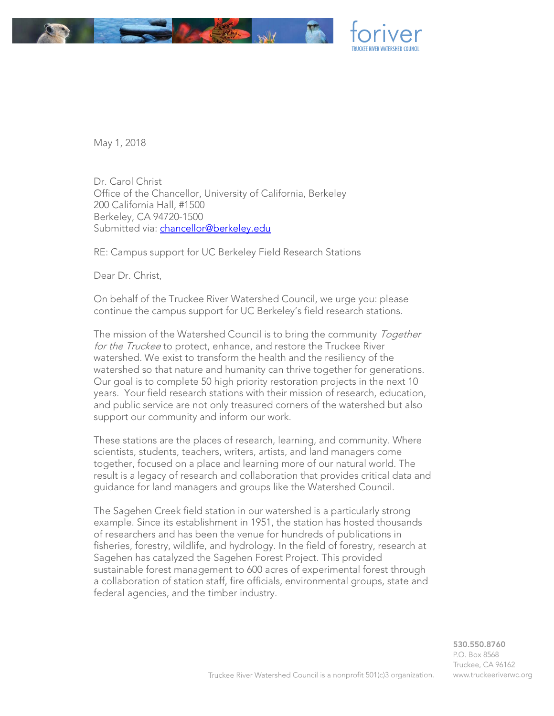

May 1, 2018

Dr. Carol Christ Office of the Chancellor, University of California, Berkeley 200 California Hall, #1500 Berkeley, CA 94720-1500 Submitted via: [chancellor@berkeley.edu](mailto:chancellor@berkeley.edu)

RE: Campus support for UC Berkeley Field Research Stations

Dear Dr. Christ,

On behalf of the Truckee River Watershed Council, we urge you: please continue the campus support for UC Berkeley's field research stations.

The mission of the Watershed Council is to bring the community Together for the Truckee to protect, enhance, and restore the Truckee River watershed. We exist to transform the health and the resiliency of the watershed so that nature and humanity can thrive together for generations. Our goal is to complete 50 high priority restoration projects in the next 10 years. Your field research stations with their mission of research, education, and public service are not only treasured corners of the watershed but also support our community and inform our work.

These stations are the places of research, learning, and community. Where scientists, students, teachers, writers, artists, and land managers come together, focused on a place and learning more of our natural world. The result is a legacy of research and collaboration that provides critical data and guidance for land managers and groups like the Watershed Council.

The Sagehen Creek field station in our watershed is a particularly strong example. Since its establishment in 1951, the station has hosted thousands of researchers and has been the venue for hundreds of publications in fisheries, forestry, wildlife, and hydrology. In the field of forestry, research at Sagehen has catalyzed the Sagehen Forest Project. This provided sustainable forest management to 600 acres of experimental forest through a collaboration of station staff, fire officials, environmental groups, state and federal agencies, and the timber industry.

> 530.550.8760 P.O. Box 8568 Truckee, CA 96162 www.truckeeriverwc.org